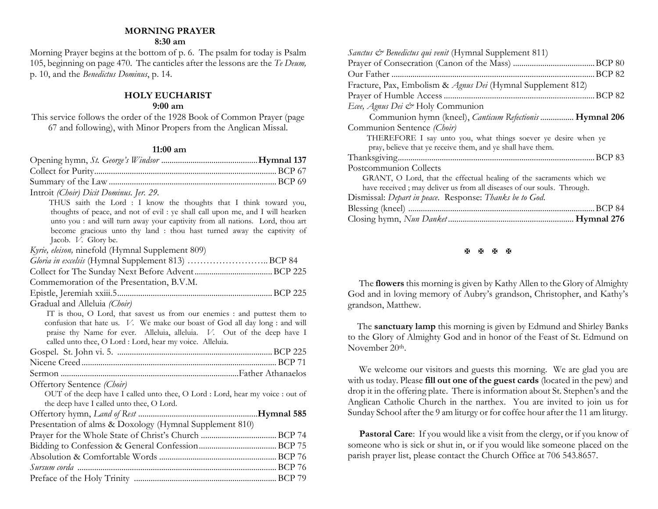#### **MORNING PRAYER**

#### **8:30 am**

Morning Prayer begins at the bottom of p. 6. The psalm for today is Psalm 105, beginning on page 470. The canticles after the lessons are the *Te Deum,* p. 10, and the *Benedictus Dominus*, p. 14.

**HOLY EUCHARIST** 

### **9:00 am**

This service follows the order of the 1928 Book of Common Prayer (page 67 and following), with Minor Propers from the Anglican Missal.

#### **11:00 am**

| Introit (Choir) Dicit Dominus. Jer. 29.                                                                                                                                                                                                                                                                                                |
|----------------------------------------------------------------------------------------------------------------------------------------------------------------------------------------------------------------------------------------------------------------------------------------------------------------------------------------|
| THUS saith the Lord : I know the thoughts that I think toward you,<br>thoughts of peace, and not of evil : ye shall call upon me, and I will hearken<br>unto you : and will turn away your captivity from all nations. Lord, thou art<br>become gracious unto thy land : thou hast turned away the captivity of<br>Jacob. V. Glory be. |
| Kyrie, eleison, ninefold (Hymnal Supplement 809)                                                                                                                                                                                                                                                                                       |
| Gloria in excelsis (Hymnal Supplement 813) BCP 84                                                                                                                                                                                                                                                                                      |
|                                                                                                                                                                                                                                                                                                                                        |
| Commemoration of the Presentation, B.V.M.                                                                                                                                                                                                                                                                                              |
|                                                                                                                                                                                                                                                                                                                                        |
| Gradual and Alleluia (Choir)                                                                                                                                                                                                                                                                                                           |
| IT is thou, O Lord, that savest us from our enemies : and puttest them to<br>confusion that hate us. V. We make our boast of God all day long : and will<br>praise thy Name for ever. Alleluia, alleluia. V. Out of the deep have I<br>called unto thee, O Lord : Lord, hear my voice. Alleluia.                                       |
|                                                                                                                                                                                                                                                                                                                                        |
|                                                                                                                                                                                                                                                                                                                                        |
|                                                                                                                                                                                                                                                                                                                                        |
| Offertory Sentence (Choir)                                                                                                                                                                                                                                                                                                             |
| OUT of the deep have I called unto thee, O Lord : Lord, hear my voice : out of<br>the deep have I called unto thee, O Lord.                                                                                                                                                                                                            |
|                                                                                                                                                                                                                                                                                                                                        |
| Presentation of alms & Doxology (Hymnal Supplement 810)                                                                                                                                                                                                                                                                                |
|                                                                                                                                                                                                                                                                                                                                        |
|                                                                                                                                                                                                                                                                                                                                        |
|                                                                                                                                                                                                                                                                                                                                        |
|                                                                                                                                                                                                                                                                                                                                        |
|                                                                                                                                                                                                                                                                                                                                        |

医原原原

The **flowers** this morning is given by Kathy Allen to the Glory of Almighty God and in loving memory of Aubry's grandson, Christopher, and Kathy's grandson, Matthew.

The **sanctuary lamp** this morning is given by Edmund and Shirley Banks to the Glory of Almighty God and in honor of the Feast of St. Edmund on November 20<sup>th</sup>.

We welcome our visitors and guests this morning. We are glad you are with us today. Please **fill out one of the guest cards** (located in the pew) and drop it in the offering plate. There is information about St. Stephen's and the Anglican Catholic Church in the narthex. You are invited to join us for Sunday School after the 9 am liturgy or for coffee hour after the 11 am liturgy.

**Pastoral Care:** If you would like a visit from the clergy, or if you know of someone who is sick or shut in, or if you would like someone placed on the parish prayer list, please contact the Church Office at 706 543.8657.